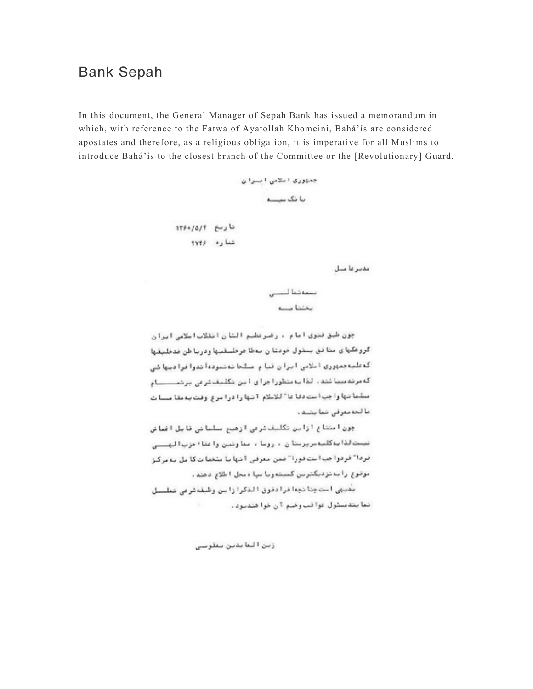## **Bank Sepah**

In this document, the General Manager of Sepah Bank has issued a memorandum in which, with reference to the Fatwa of Ayatollah Khomeini, Bahá'ís are considered apostates and therefore, as a religious obligation, it is imperative for all Muslims to introduce Bahá'ís to the closest branch of the Committee or the [Revolutionary] Guard.

جميتوري اسلامى ابسوان بانک سے تاريخ ١٣۶٠/٥/٢ شما ره ۲۷۴۶

مدبر عا مىل

بسمه تنعا لننسس  $-1$ 

جون طبق فتوى امام ، رصرعطبم الشان انقلاب اللامي ايران گروهگهای متافق بسقول خودتان سه طا هرخلسقییها ودریا طن فدخلیقها که علیه جمهوری ا ملامی ایران قبا م مسلحا نه نموده اندو افرا دینها شی که مرتدمینا شده . لذا به متطور اجرای این نکلیف شرقی برتنـــــــام متلما تتها واجب است دفاعا " للاطلام 1 تنها را در اسرع وقت بدمقا مستات ما لحديثوفي نما يشتد.

چون امتناع ازاین تکلیف شرعی ازهیج مسلمانی قابل اغماض تیست لذا به گلبه مریزمتا ن ۱۰ روما ۱۰ معاونتین وا عقا ۱۰ حزب ا لبهستی فردا" فردوا بب است قورا" ضمن معرفي 1 شها با مشغما ت کا مل به مرکيز موضوع را بنا نزدیکترین کنیت ویا بپا دیجل ا طلاع دهند.

بعيبي استجنا نجه فرادفوق الدكرازاين وظبفهفرمى نعلسال نما بندسلول دوا فب وضع ؟ن خوا هندبرد.

زبن العابدين بعقوبين